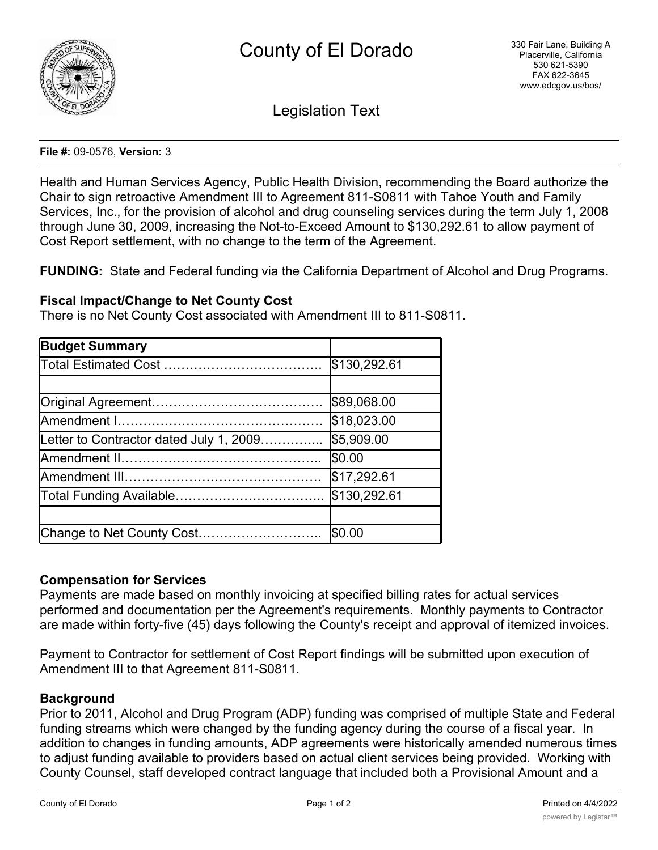

Legislation Text

#### **File #:** 09-0576, **Version:** 3

Health and Human Services Agency, Public Health Division, recommending the Board authorize the Chair to sign retroactive Amendment III to Agreement 811-S0811 with Tahoe Youth and Family Services, Inc., for the provision of alcohol and drug counseling services during the term July 1, 2008 through June 30, 2009, increasing the Not-to-Exceed Amount to \$130,292.61 to allow payment of Cost Report settlement, with no change to the term of the Agreement.

**FUNDING:** State and Federal funding via the California Department of Alcohol and Drug Programs.

## **Fiscal Impact/Change to Net County Cost**

There is no Net County Cost associated with Amendment III to 811-S0811.

| <b>Budget Summary</b>                   |              |
|-----------------------------------------|--------------|
|                                         | \$130,292.61 |
|                                         |              |
|                                         | \$89,068.00  |
|                                         | \$18,023.00  |
| Letter to Contractor dated July 1, 2009 | \$5,909.00   |
| Amendment II………………………………………             | \$0.00       |
|                                         | \$17,292.61  |
|                                         | \$130,292.61 |
|                                         |              |
| Change to Net County Cost               | \$0.00       |

### **Compensation for Services**

Payments are made based on monthly invoicing at specified billing rates for actual services performed and documentation per the Agreement's requirements. Monthly payments to Contractor are made within forty-five (45) days following the County's receipt and approval of itemized invoices.

Payment to Contractor for settlement of Cost Report findings will be submitted upon execution of Amendment III to that Agreement 811-S0811.

### **Background**

Prior to 2011, Alcohol and Drug Program (ADP) funding was comprised of multiple State and Federal funding streams which were changed by the funding agency during the course of a fiscal year. In addition to changes in funding amounts, ADP agreements were historically amended numerous times to adjust funding available to providers based on actual client services being provided. Working with County Counsel, staff developed contract language that included both a Provisional Amount and a